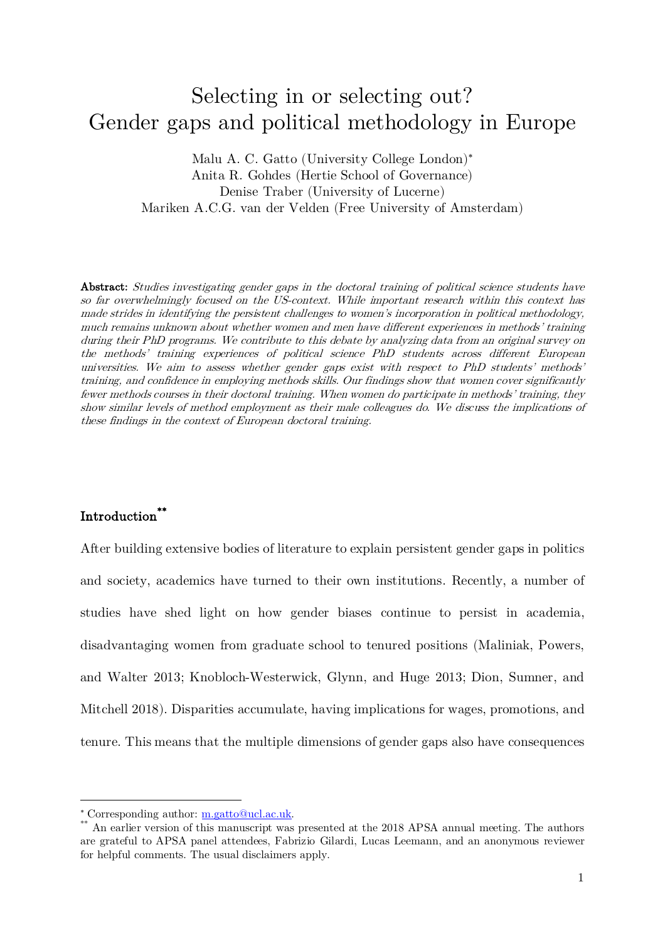# Selecting in or selecting out? Gender gaps and political methodology in Europe

Malu A. C. Gatto (University College London)\* Anita R. Gohdes (Hertie School of Governance) Denise Traber (University of Lucerne) Mariken A.C.G. van der Velden (Free University of Amsterdam)

Abstract: Studies investigating gender gaps in the doctoral training of political science students have so far overwhelmingly focused on the US-context. While important research within this context has made strides in identifying the persistent challenges to women's incorporation in political methodology, much remains unknown about whether women and men have different experiences in methods' training during their PhD programs. We contribute to this debate by analyzing data from an original survey on the methods' training experiences of political science PhD students across different European universities. We aim to assess whether gender gaps exist with respect to PhD students' methods' training, and confidence in employing methods skills. Our findings show that women cover significantly fewer methods courses in their doctoral training. When women do participate in methods' training, they show similar levels of method employment as their male colleagues do. We discuss the implications of these findings in the context of European doctoral training.

## Introduction\*\*

 $\overline{a}$ 

After building extensive bodies of literature to explain persistent gender gaps in politics and society, academics have turned to their own institutions. Recently, a number of studies have shed light on how gender biases continue to persist in academia, disadvantaging women from graduate school to tenured positions (Maliniak, Powers, and Walter 2013; Knobloch-Westerwick, Glynn, and Huge 2013; Dion, Sumner, and Mitchell 2018). Disparities accumulate, having implications for wages, promotions, and tenure. This means that the multiple dimensions of gender gaps also have consequences

 $^*$  Corresponding author: <u>m.gatto@ucl.ac.uk</u>.  $^{**}$  An earlier version of this manuscript was presented at the 2018 APSA annual meeting. The authors are grateful to APSA panel attendees, Fabrizio Gilardi, Lucas Leemann, and an anonymous reviewer for helpful comments. The usual disclaimers apply.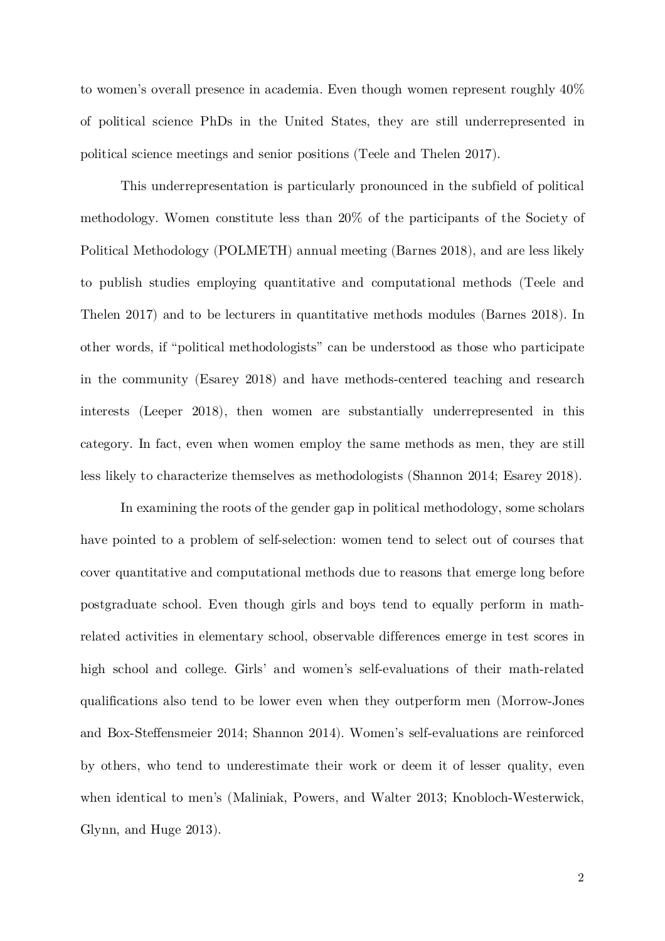to women's overall presence in academia. Even though women represent roughly 40% of political science PhDs in the United States, they are still underrepresented in political science meetings and senior positions (Teele and Thelen 2017).

This underrepresentation is particularly pronounced in the subfield of political methodology. Women constitute less than 20% of the participants of the Society of Political Methodology (POLMETH) annual meeting (Barnes 2018), and are less likely to publish studies employing quantitative and computational methods (Teele and Thelen 2017) and to be lecturers in quantitative methods modules (Barnes 2018). In other words, if "political methodologists" can be understood as those who participate in the community (Esarey 2018) and have methods-centered teaching and research interests (Leeper 2018), then women are substantially underrepresented in this category. In fact, even when women employ the same methods as men, they are still less likely to characterize themselves as methodologists (Shannon 2014; Esarey 2018).

In examining the roots of the gender gap in political methodology, some scholars have pointed to a problem of self-selection: women tend to select out of courses that cover quantitative and computational methods due to reasons that emerge long before postgraduate school. Even though girls and boys tend to equally perform in mathrelated activities in elementary school, observable differences emerge in test scores in high school and college. Girls' and women's self-evaluations of their math-related qualifications also tend to be lower even when they outperform men (Morrow-Jones and Box-Steffensmeier 2014; Shannon 2014). Women's self-evaluations are reinforced by others, who tend to underestimate their work or deem it of lesser quality, even when identical to men's (Maliniak, Powers, and Walter 2013; Knobloch-Westerwick, Glynn, and Huge 2013).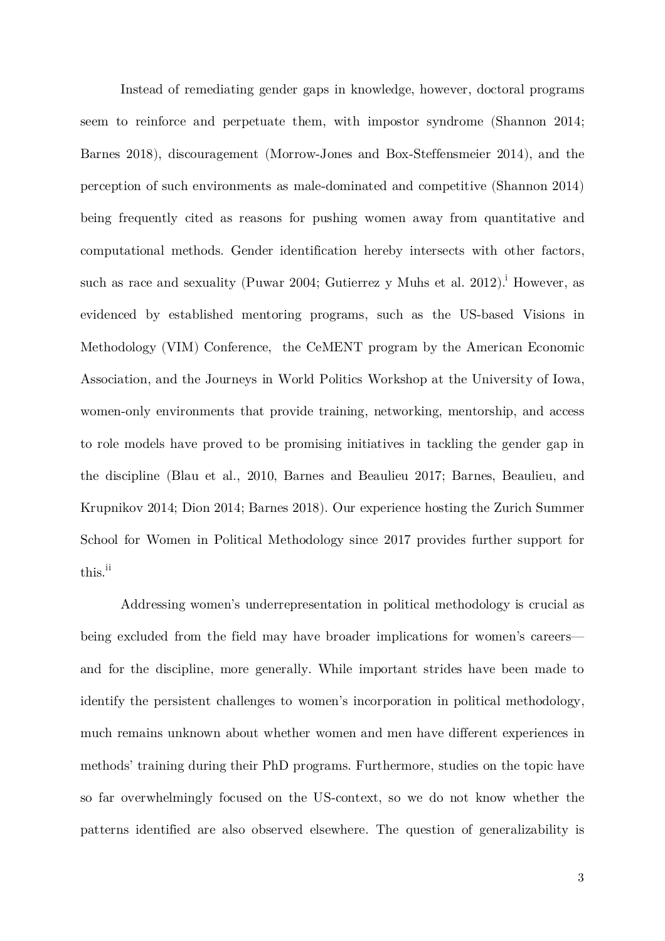Instead of remediating gender gaps in knowledge, however, doctoral programs seem to reinforce and perpetuate them, with impostor syndrome (Shannon 2014; Barnes 2018), discouragement (Morrow-Jones and Box-Steffensmeier 2014), and the perception of such environments as male-dominated and competitive (Shannon 2014) being frequently cited as reasons for pushing women away from quantitative and computational methods. Gender identification hereby intersects with other factors, such as race and sexuality (Puwar 2004; Gutierrez y Muhs et al. 2012).<sup>i</sup> However, as evidenced by established mentoring programs, such as the US-based Visions in Methodology (VIM) Conference, the CeMENT program by the American Economic Association, and the Journeys in World Politics Workshop at the University of Iowa, women-only environments that provide training, networking, mentorship, and access to role models have proved to be promising initiatives in tackling the gender gap in the discipline (Blau et al., 2010, Barnes and Beaulieu 2017; Barnes, Beaulieu, and Krupnikov 2014; Dion 2014; Barnes 2018). Our experience hosting the Zurich Summer School for Women in Political Methodology since 2017 provides further support for this.<sup>ii</sup>

Addressing women's underrepresentation in political methodology is crucial as being excluded from the field may have broader implications for women's careers and for the discipline, more generally. While important strides have been made to identify the persistent challenges to women's incorporation in political methodology, much remains unknown about whether women and men have different experiences in methods' training during their PhD programs. Furthermore, studies on the topic have so far overwhelmingly focused on the US-context, so we do not know whether the patterns identified are also observed elsewhere. The question of generalizability is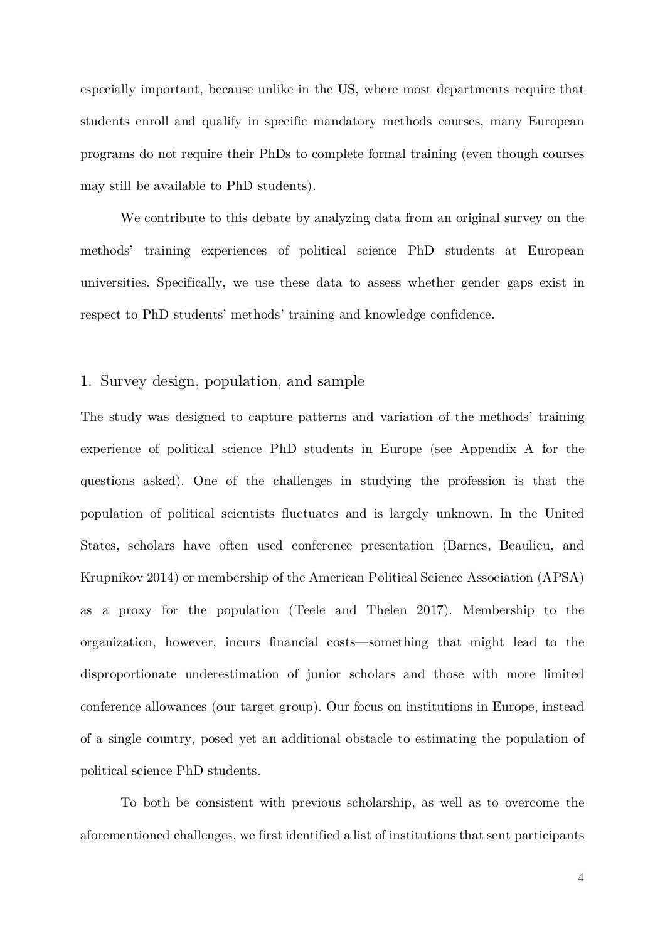especially important, because unlike in the US, where most departments require that students enroll and qualify in specific mandatory methods courses, many European programs do not require their PhDs to complete formal training (even though courses may still be available to PhD students).

We contribute to this debate by analyzing data from an original survey on the methods' training experiences of political science PhD students at European universities. Specifically, we use these data to assess whether gender gaps exist in respect to PhD students' methods' training and knowledge confidence.

#### 1. Survey design, population, and sample

The study was designed to capture patterns and variation of the methods' training experience of political science PhD students in Europe (see Appendix A for the questions asked). One of the challenges in studying the profession is that the population of political scientists fluctuates and is largely unknown. In the United States, scholars have often used conference presentation (Barnes, Beaulieu, and Krupnikov 2014) or membership of the American Political Science Association (APSA) as a proxy for the population (Teele and Thelen 2017). Membership to the organization, however, incurs financial costs—something that might lead to the disproportionate underestimation of junior scholars and those with more limited conference allowances (our target group). Our focus on institutions in Europe, instead of a single country, posed yet an additional obstacle to estimating the population of political science PhD students.

To both be consistent with previous scholarship, as well as to overcome the aforementioned challenges, we first identified a list of institutions that sent participants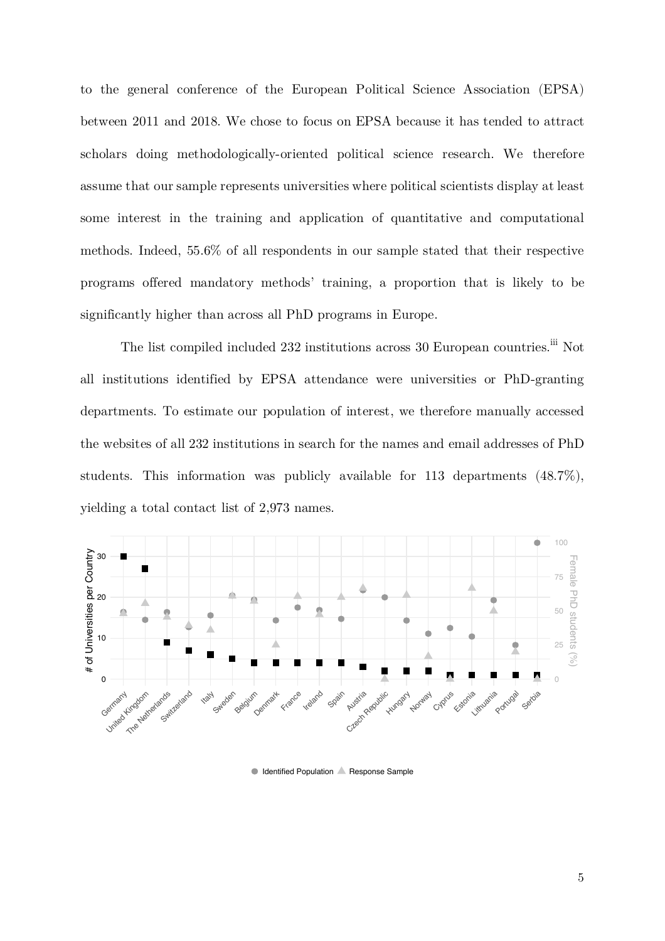to the general conference of the European Political Science Association (EPSA) between 2011 and 2018. We chose to focus on EPSA because it has tended to attract scholars doing methodologically-oriented political science research. We therefore assume that our sample represents universities where political scientists display at least some interest in the training and application of quantitative and computational methods. Indeed, 55.6% of all respondents in our sample stated that their respective programs offered mandatory methods' training, a proportion that is likely to be significantly higher than across all PhD programs in Europe.

The list compiled included 232 institutions across 30 European countries.<sup>iii</sup> Not all institutions identified by EPSA attendance were universities or PhD-granting departments. To estimate our population of interest, we therefore manually accessed the websites of all 232 institutions in search for the names and email addresses of PhD students. This information was publicly available for 113 departments (48.7%), yielding a total contact list of 2,973 names.



Identified Population **A** Response Sample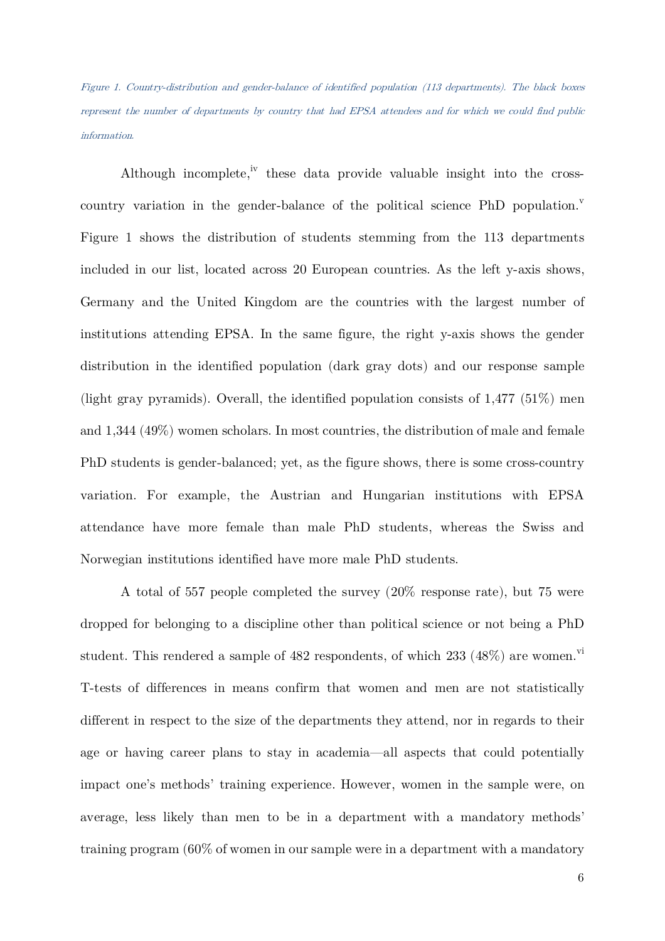Figure 1. Country-distribution and gender-balance of identified population (113 departments). The black boxes represent the number of departments by country that had EPSA attendees and for which we could find public information.

Although incomplete,<sup>iv</sup> these data provide valuable insight into the crosscountry variation in the gender-balance of the political science  $PhD$  population.<sup>v</sup> Figure 1 shows the distribution of students stemming from the 113 departments included in our list, located across 20 European countries. As the left y-axis shows, Germany and the United Kingdom are the countries with the largest number of institutions attending EPSA. In the same figure, the right y-axis shows the gender distribution in the identified population (dark gray dots) and our response sample (light gray pyramids). Overall, the identified population consists of 1,477 (51%) men and 1,344 (49%) women scholars. In most countries, the distribution of male and female PhD students is gender-balanced; yet, as the figure shows, there is some cross-country variation. For example, the Austrian and Hungarian institutions with EPSA attendance have more female than male PhD students, whereas the Swiss and Norwegian institutions identified have more male PhD students.

A total of 557 people completed the survey (20% response rate), but 75 were dropped for belonging to a discipline other than political science or not being a PhD student. This rendered a sample of  $482$  respondents, of which  $233$   $(48\%)$  are women.<sup>vi</sup> T-tests of differences in means confirm that women and men are not statistically different in respect to the size of the departments they attend, nor in regards to their age or having career plans to stay in academia—all aspects that could potentially impact one's methods' training experience. However, women in the sample were, on average, less likely than men to be in a department with a mandatory methods' training program (60% of women in our sample were in a department with a mandatory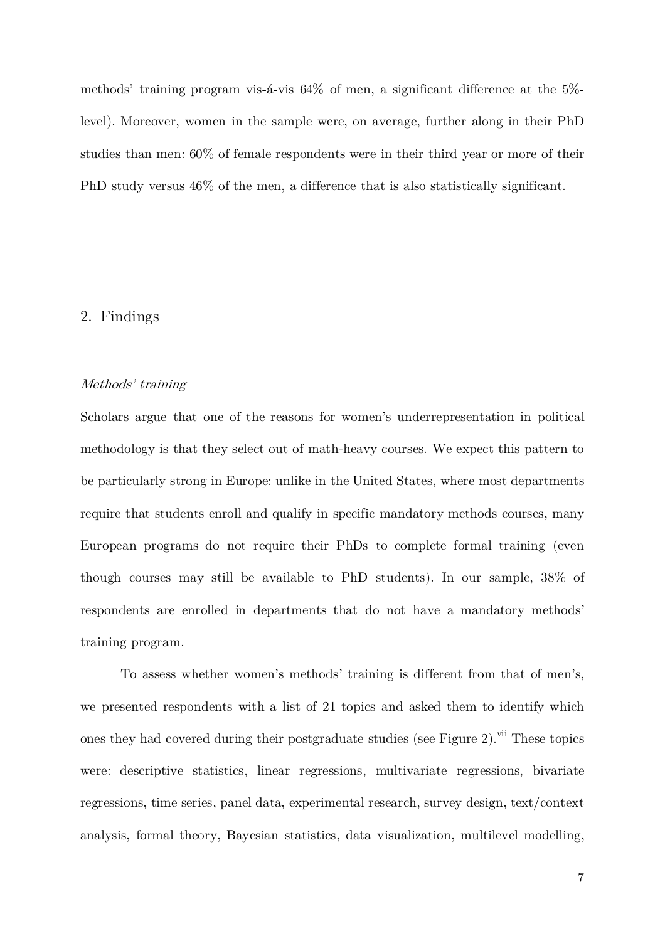methods' training program vis-á-vis 64% of men, a significant difference at the 5% level). Moreover, women in the sample were, on average, further along in their PhD studies than men: 60% of female respondents were in their third year or more of their PhD study versus 46% of the men, a difference that is also statistically significant.

## 2. Findings

#### Methods' training

Scholars argue that one of the reasons for women's underrepresentation in political methodology is that they select out of math-heavy courses. We expect this pattern to be particularly strong in Europe: unlike in the United States, where most departments require that students enroll and qualify in specific mandatory methods courses, many European programs do not require their PhDs to complete formal training (even though courses may still be available to PhD students). In our sample, 38% of respondents are enrolled in departments that do not have a mandatory methods' training program.

To assess whether women's methods' training is different from that of men's, we presented respondents with a list of 21 topics and asked them to identify which ones they had covered during their postgraduate studies (see Figure 2).<sup>vii</sup> These topics were: descriptive statistics, linear regressions, multivariate regressions, bivariate regressions, time series, panel data, experimental research, survey design, text/context analysis, formal theory, Bayesian statistics, data visualization, multilevel modelling,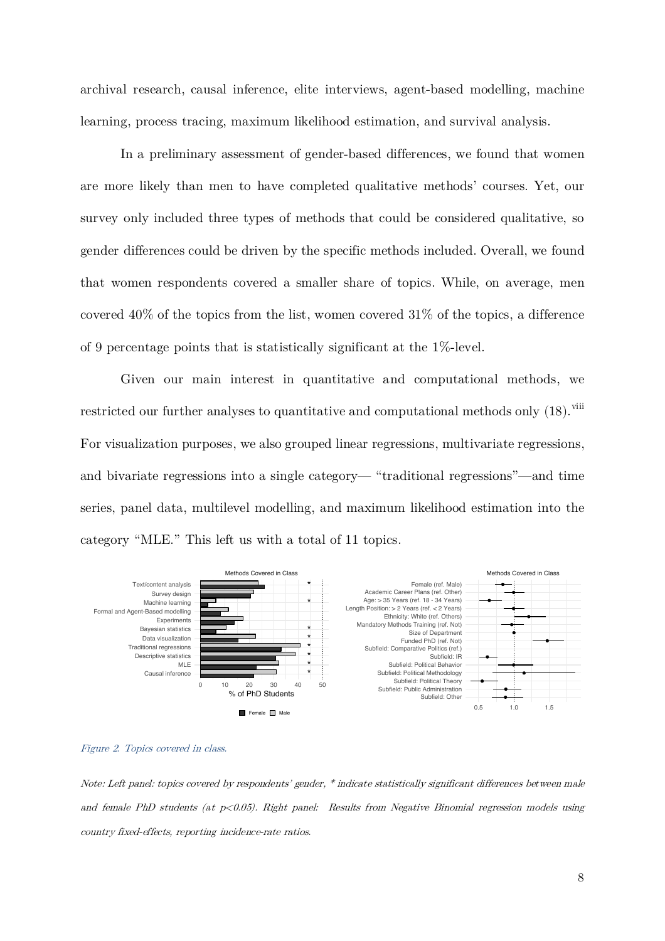archival research, causal inference, elite interviews, agent-based modelling, machine learning, process tracing, maximum likelihood estimation, and survival analysis.

In a preliminary assessment of gender-based differences, we found that women are more likely than men to have completed qualitative methods' courses. Yet, our survey only included three types of methods that could be considered qualitative, so gender differences could be driven by the specific methods included. Overall, we found that women respondents covered a smaller share of topics. While, on average, men covered 40% of the topics from the list, women covered 31% of the topics, a difference of 9 percentage points that is statistically significant at the 1%-level.

Given our main interest in quantitative and computational methods, we restricted our further analyses to quantitative and computational methods only (18).<sup>viii</sup> For visualization purposes, we also grouped linear regressions, multivariate regressions, and bivariate regressions into a single category— "traditional regressions"—and time series, panel data, multilevel modelling, and maximum likelihood estimation into the category "MLE." This left us with a total of 11 topics.





Note: Left panel: topics covered by respondents' gender, \* indicate statistically significant differences between male and female PhD students (at  $p<0.05$ ). Right panel: Results from Negative Binomial regression models using country fixed-effects, reporting incidence-rate ratios.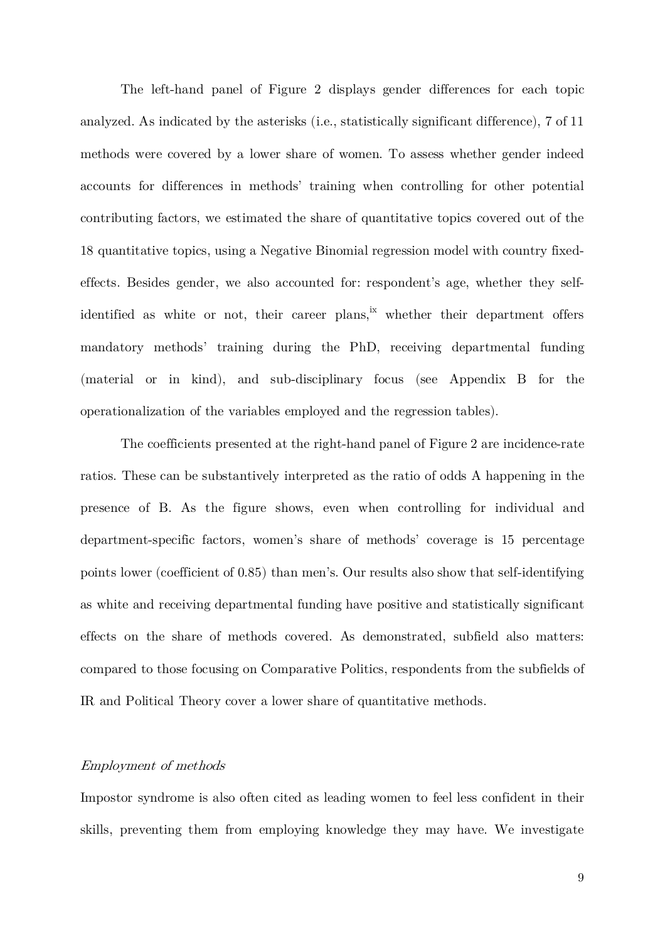The left-hand panel of Figure 2 displays gender differences for each topic analyzed. As indicated by the asterisks (i.e., statistically significant difference), 7 of 11 methods were covered by a lower share of women. To assess whether gender indeed accounts for differences in methods' training when controlling for other potential contributing factors, we estimated the share of quantitative topics covered out of the 18 quantitative topics, using a Negative Binomial regression model with country fixedeffects. Besides gender, we also accounted for: respondent's age, whether they selfidentified as white or not, their career plans, $\frac{ix}{x}$  whether their department offers mandatory methods' training during the PhD, receiving departmental funding (material or in kind), and sub-disciplinary focus (see Appendix B for the operationalization of the variables employed and the regression tables).

The coefficients presented at the right-hand panel of Figure 2 are incidence-rate ratios. These can be substantively interpreted as the ratio of odds A happening in the presence of B. As the figure shows, even when controlling for individual and department-specific factors, women's share of methods' coverage is 15 percentage points lower (coefficient of 0.85) than men's. Our results also show that self-identifying as white and receiving departmental funding have positive and statistically significant effects on the share of methods covered. As demonstrated, subfield also matters: compared to those focusing on Comparative Politics, respondents from the subfields of IR and Political Theory cover a lower share of quantitative methods.

### Employment of methods

Impostor syndrome is also often cited as leading women to feel less confident in their skills, preventing them from employing knowledge they may have. We investigate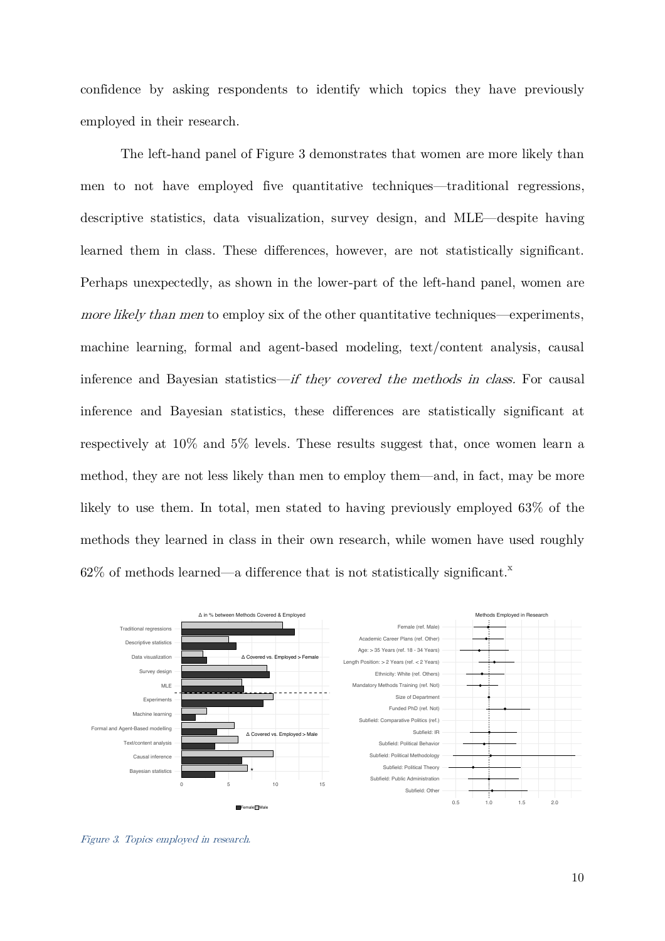confidence by asking respondents to identify which topics they have previously employed in their research.

The left-hand panel of Figure 3 demonstrates that women are more likely than men to not have employed five quantitative techniques—traditional regressions, descriptive statistics, data visualization, survey design, and MLE—despite having learned them in class. These differences, however, are not statistically significant. Perhaps unexpectedly, as shown in the lower-part of the left-hand panel, women are more likely than men to employ six of the other quantitative techniques—experiments, machine learning, formal and agent-based modeling, text/content analysis, causal inference and Bayesian statistics—if they covered the methods in class. For causal inference and Bayesian statistics, these differences are statistically significant at respectively at 10% and 5% levels. These results suggest that, once women learn a method, they are not less likely than men to employ them—and, in fact, may be more likely to use them. In total, men stated to having previously employed 63% of the methods they learned in class in their own research, while women have used roughly  $62\%$  of methods learned—a difference that is not statistically significant.<sup>x</sup>



Figure 3. Topics employed in research.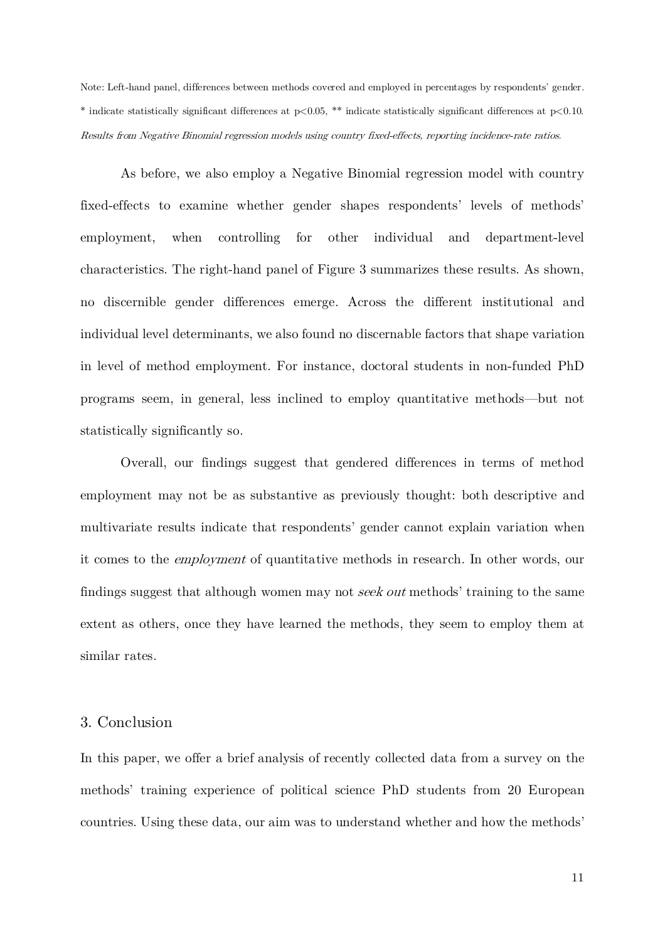Note: Left-hand panel, differences between methods covered and employed in percentages by respondents' gender. \* indicate statistically significant differences at p<0.05, \*\* indicate statistically significant differences at p<0.10. Results from Negative Binomial regression models using country fixed-effects, reporting incidence-rate ratios.

As before, we also employ a Negative Binomial regression model with country fixed-effects to examine whether gender shapes respondents' levels of methods' employment, when controlling for other individual and department-level characteristics. The right-hand panel of Figure 3 summarizes these results. As shown, no discernible gender differences emerge. Across the different institutional and individual level determinants, we also found no discernable factors that shape variation in level of method employment. For instance, doctoral students in non-funded PhD programs seem, in general, less inclined to employ quantitative methods—but not statistically significantly so.

Overall, our findings suggest that gendered differences in terms of method employment may not be as substantive as previously thought: both descriptive and multivariate results indicate that respondents' gender cannot explain variation when it comes to the employment of quantitative methods in research. In other words, our findings suggest that although women may not seek out methods' training to the same extent as others, once they have learned the methods, they seem to employ them at similar rates.

#### 3. Conclusion

In this paper, we offer a brief analysis of recently collected data from a survey on the methods' training experience of political science PhD students from 20 European countries. Using these data, our aim was to understand whether and how the methods'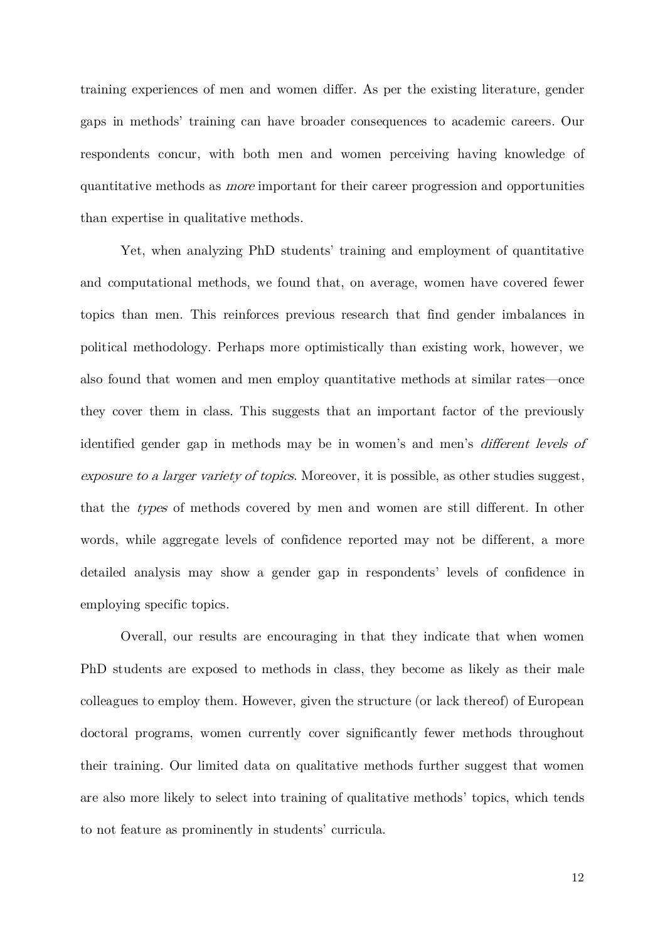training experiences of men and women differ. As per the existing literature, gender gaps in methods' training can have broader consequences to academic careers. Our respondents concur, with both men and women perceiving having knowledge of quantitative methods as more important for their career progression and opportunities than expertise in qualitative methods.

Yet, when analyzing PhD students' training and employment of quantitative and computational methods, we found that, on average, women have covered fewer topics than men. This reinforces previous research that find gender imbalances in political methodology. Perhaps more optimistically than existing work, however, we also found that women and men employ quantitative methods at similar rates—once they cover them in class. This suggests that an important factor of the previously identified gender gap in methods may be in women's and men's different levels of exposure to a larger variety of topics. Moreover, it is possible, as other studies suggest, that the types of methods covered by men and women are still different. In other words, while aggregate levels of confidence reported may not be different, a more detailed analysis may show a gender gap in respondents' levels of confidence in employing specific topics.

Overall, our results are encouraging in that they indicate that when women PhD students are exposed to methods in class, they become as likely as their male colleagues to employ them. However, given the structure (or lack thereof) of European doctoral programs, women currently cover significantly fewer methods throughout their training. Our limited data on qualitative methods further suggest that women are also more likely to select into training of qualitative methods' topics, which tends to not feature as prominently in students' curricula.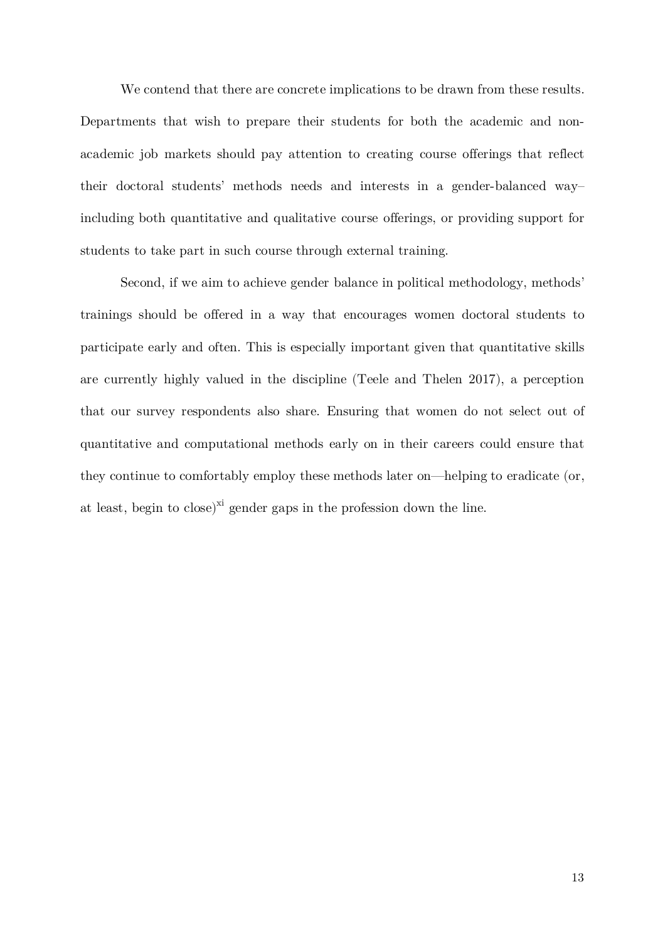We contend that there are concrete implications to be drawn from these results. Departments that wish to prepare their students for both the academic and nonacademic job markets should pay attention to creating course offerings that reflect their doctoral students' methods needs and interests in a gender-balanced way– including both quantitative and qualitative course offerings, or providing support for students to take part in such course through external training.

Second, if we aim to achieve gender balance in political methodology, methods' trainings should be offered in a way that encourages women doctoral students to participate early and often. This is especially important given that quantitative skills are currently highly valued in the discipline (Teele and Thelen 2017), a perception that our survey respondents also share. Ensuring that women do not select out of quantitative and computational methods early on in their careers could ensure that they continue to comfortably employ these methods later on—helping to eradicate (or, at least, begin to close)<sup>xi</sup> gender gaps in the profession down the line.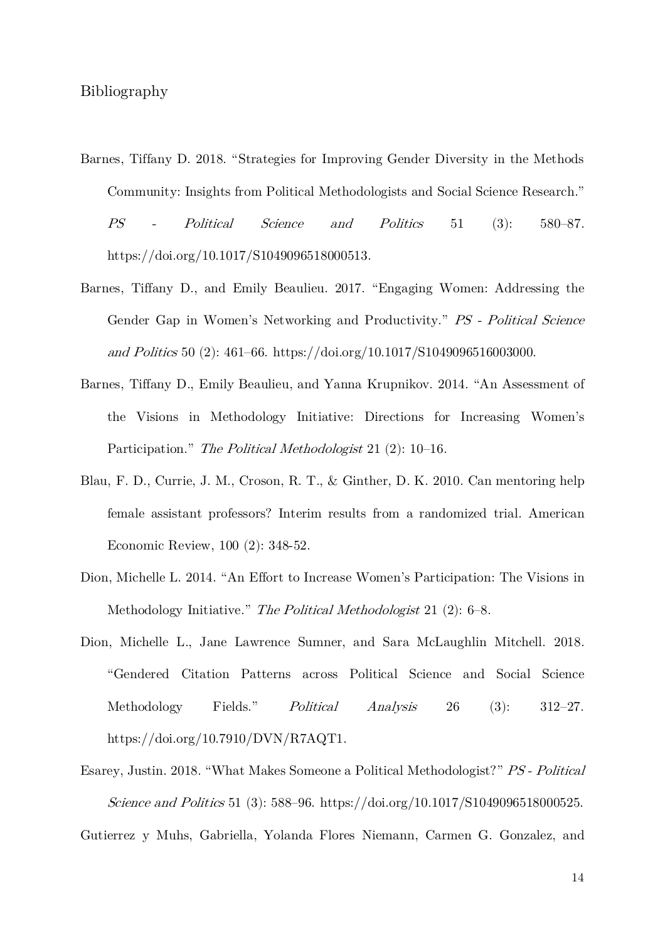- Barnes, Tiffany D. 2018. "Strategies for Improving Gender Diversity in the Methods Community: Insights from Political Methodologists and Social Science Research." PS - Political Science and Politics 51 (3): 580–87. https://doi.org/10.1017/S1049096518000513.
- Barnes, Tiffany D., and Emily Beaulieu. 2017. "Engaging Women: Addressing the Gender Gap in Women's Networking and Productivity." PS - Political Science and Politics 50 (2): 461–66. https://doi.org/10.1017/S1049096516003000.
- Barnes, Tiffany D., Emily Beaulieu, and Yanna Krupnikov. 2014. "An Assessment of the Visions in Methodology Initiative: Directions for Increasing Women's Participation." The Political Methodologist 21 (2): 10–16.
- Blau, F. D., Currie, J. M., Croson, R. T., & Ginther, D. K. 2010. Can mentoring help female assistant professors? Interim results from a randomized trial. American Economic Review, 100 (2): 348-52.
- Dion, Michelle L. 2014. "An Effort to Increase Women's Participation: The Visions in Methodology Initiative." The Political Methodologist 21 (2): 6–8.
- Dion, Michelle L., Jane Lawrence Sumner, and Sara McLaughlin Mitchell. 2018. "Gendered Citation Patterns across Political Science and Social Science Methodology Fields." Political Analysis 26 (3): 312–27. https://doi.org/10.7910/DVN/R7AQT1.
- Esarey, Justin. 2018. "What Makes Someone a Political Methodologist?" PS Political Science and Politics 51 (3): 588–96. https://doi.org/10.1017/S1049096518000525. Gutierrez y Muhs, Gabriella, Yolanda Flores Niemann, Carmen G. Gonzalez, and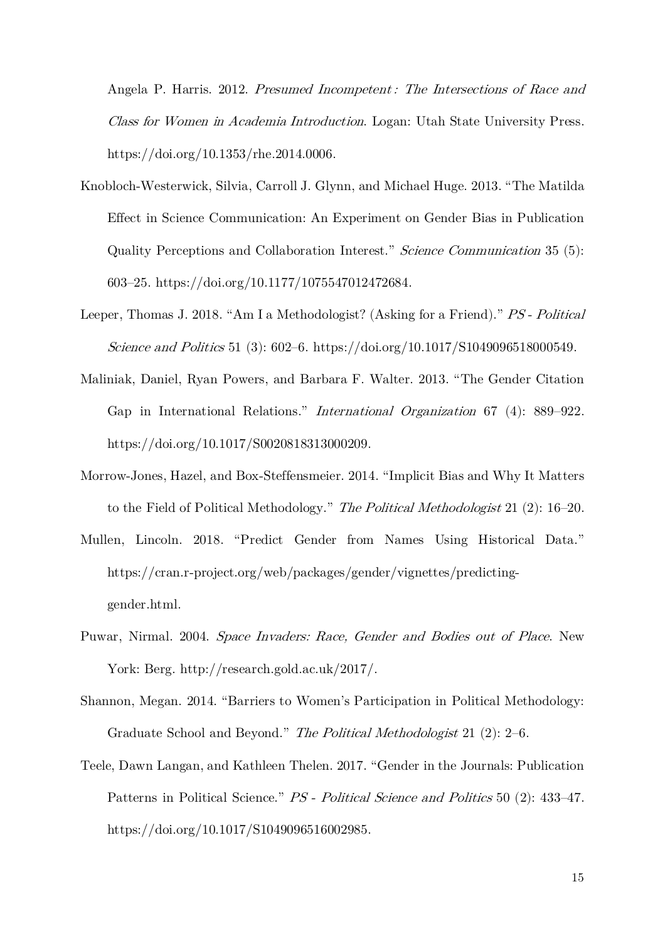Angela P. Harris. 2012. Presumed Incompetent: The Intersections of Race and Class for Women in Academia Introduction. Logan: Utah State University Press. https://doi.org/10.1353/rhe.2014.0006.

- Knobloch-Westerwick, Silvia, Carroll J. Glynn, and Michael Huge. 2013. "The Matilda Effect in Science Communication: An Experiment on Gender Bias in Publication Quality Perceptions and Collaboration Interest." Science Communication 35 (5): 603–25. https://doi.org/10.1177/1075547012472684.
- Leeper, Thomas J. 2018. "Am I a Methodologist? (Asking for a Friend)." PS Political Science and Politics 51 (3): 602–6. https://doi.org/10.1017/S1049096518000549.
- Maliniak, Daniel, Ryan Powers, and Barbara F. Walter. 2013. "The Gender Citation Gap in International Relations." International Organization 67 (4): 889–922. https://doi.org/10.1017/S0020818313000209.
- Morrow-Jones, Hazel, and Box-Steffensmeier. 2014. "Implicit Bias and Why It Matters to the Field of Political Methodology." The Political Methodologist 21 (2): 16–20.
- Mullen, Lincoln. 2018. "Predict Gender from Names Using Historical Data." https://cran.r-project.org/web/packages/gender/vignettes/predictinggender.html.
- Puwar, Nirmal. 2004. Space Invaders: Race, Gender and Bodies out of Place. New York: Berg. http://research.gold.ac.uk/2017/.
- Shannon, Megan. 2014. "Barriers to Women's Participation in Political Methodology: Graduate School and Beyond." The Political Methodologist 21 (2): 2–6.
- Teele, Dawn Langan, and Kathleen Thelen. 2017. "Gender in the Journals: Publication Patterns in Political Science." PS - Political Science and Politics 50 (2): 433–47. https://doi.org/10.1017/S1049096516002985.